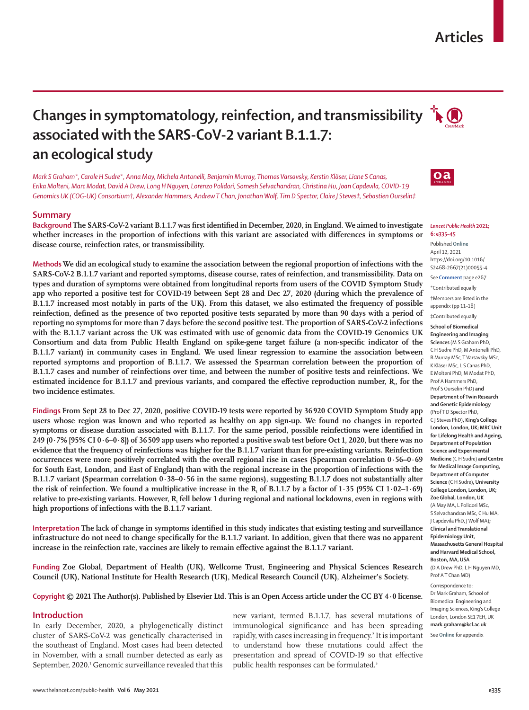# **Changes in symptomatology, reinfection, and transmissibility associated with the SARS-CoV-2 variant B.1.1.7: an ecological study**

*Mark S Graham\*, Carole H Sudre\*, Anna May, Michela Antonelli, Benjamin Murray, Thomas Varsavsky, Kerstin Kläser, Liane S Canas, Erika Molteni, Marc Modat, David A Drew, Long H Nguyen, Lorenzo Polidori, Somesh Selvachandran, Christina Hu, Joan Capdevila, COVID-19 Genomics UK (COG-UK) Consortium†, Alexander Hammers, Andrew T Chan, Jonathan Wolf, Tim D Spector, Claire J Steves‡, Sebastien Ourselin‡*

# **Summary**

**Background The SARS-CoV-2 variant B.1.1.7 was first identified in December, 2020, in England. We aimed to investigate whether increases in the proportion of infections with this variant are associated with differences in symptoms or disease course, reinfection rates, or transmissibility.**

**Methods We did an ecological study to examine the association between the regional proportion of infections with the SARS-CoV-2 B.1.1.7 variant and reported symptoms, disease course, rates of reinfection, and transmissibility. Data on types and duration of symptoms were obtained from longitudinal reports from users of the COVID Symptom Study app who reported a positive test for COVID-19 between Sept 28 and Dec 27, 2020 (during which the prevalence of B.1.1.7 increased most notably in parts of the UK). From this dataset, we also estimated the frequency of possible reinfection, defined as the presence of two reported positive tests separated by more than 90 days with a period of reporting no symptoms for more than 7 days before the second positive test. The proportion of SARS-CoV-2 infections with the B.1.1.7 variant across the UK was estimated with use of genomic data from the COVID-19 Genomics UK Consortium and data from Public Health England on spike-gene target failure (a non-specific indicator of the B.1.1.7 variant) in community cases in England. We used linear regression to examine the association between reported symptoms and proportion of B.1.1.7. We assessed the Spearman correlation between the proportion of B.1.1.7 cases and number of reinfections over time, and between the number of positive tests and reinfections. We**  estimated incidence for B.1.1.7 and previous variants, and compared the effective reproduction number, R<sub>1</sub>, for the **two incidence estimates.**

**Findings From Sept 28 to Dec 27, 2020, positive COVID-19 tests were reported by 36920 COVID Symptom Study app users whose region was known and who reported as healthy on app sign-up. We found no changes in reported symptoms or disease duration associated with B.1.1.7. For the same period, possible reinfections were identified in 249 (0·7% [95% CI 0·6–0·8]) of 36509 app users who reported a positive swab test before Oct 1, 2020, but there was no evidence that the frequency of reinfections was higher for the B.1.1.7 variant than for pre-existing variants. Reinfection occurrences were more positively correlated with the overall regional rise in cases (Spearman correlation 0·56–0·69 for South East, London, and East of England) than with the regional increase in the proportion of infections with the B.1.1.7 variant (Spearman correlation 0·38–0·56 in the same regions), suggesting B.1.1.7 does not substantially alter**  the risk of reinfection. We found a multiplicative increase in the R<sub>t</sub> of B.1.1.7 by a factor of  $1.35$  (95% CI  $1.02-1.69$ ) relative to pre-existing variants. However, R, fell below 1 during regional and national lockdowns, even in regions with **high proportions of infections with the B.1.1.7 variant.**

**Interpretation The lack of change in symptoms identified in this study indicates that existing testing and surveillance infrastructure do not need to change specifically for the B.1.1.7 variant. In addition, given that there was no apparent increase in the reinfection rate, vaccines are likely to remain effective against the B.1.1.7 variant.**

**Funding Zoe Global, Department of Health (UK), Wellcome Trust, Engineering and Physical Sciences Research Council (UK), National Institute for Health Research (UK), Medical Research Council (UK), Alzheimer's Society.**

# **Copyright © 2021 The Author(s). Published by Elsevier Ltd. This is an Open Access article under the CC BY 4·0 license.**

## **Introduction**

In early December, 2020, a phylogenetically distinct cluster of SARS-CoV-2 was genetically characterised in the southeast of England. Most cases had been detected in November, with a small number detected as early as September, 2020.<sup>1</sup> Genomic surveillance revealed that this new variant, termed B.1.1.7, has several mutations of immunological significance and has been spreading rapidly, with cases increasing in frequency.<sup>2</sup> It is important to understand how these mutations could affect the presentation and spread of COVID-19 so that effective public health responses can be formulated.<sup>3</sup>

#### *Lancet Public Health* **2021; 6: e335–45**

Published **Online** April 12, 2021 https://doi.org/10.1016/ S2468-2667(21)00055-4

See **Comment** page e267

\*Contributed equally †Members are listed in the appendix (pp 11–18)

‡Contributed equally

## **School of Biomedical Engineering and Imaging Sciences** (M S Graham PhD, C H Sudre PhD, M Antonelli PhD, B Murray MSc, T Varsavsky MSc, K Kläser MSc, L S Canas PhD, E Molteni PhD, M Modat PhD, Prof A Hammers PhD,

Prof S Ourselin PhD) **and Department of Twin Research and Genetic Epidemiology**  (Prof T D Spector PhD, C J Steves PhD)**, King's College London, London, UK; MRC Unit for Lifelong Health and Ageing, Department of Population Science and Experimental Medicine** (C H Sudre) **and Centre for Medical Image Computing, Department of Computer Science** (C H Sudre)**, University College London, London, UK; Zoe Global, London, UK**  (A May MA, L Polidori MSc, S Selvachandran MSc, C Hu MA, J Capdevila PhD, J Wolf MA)**; Clinical and Translational Epidemiology Unit, Massachusetts General Hospital and Harvard Medical School, Boston, MA, USA**  (D A Drew PhD, L H Nguyen MD, Prof A T Chan MD)

Correspondence to:

Dr Mark Graham, School of Biomedical Engineering and Imaging Sciences, King's College London, London SE1 7EH, UK **mark.graham@kcl.ac.uk**

See **Online** for appendix



 $oa$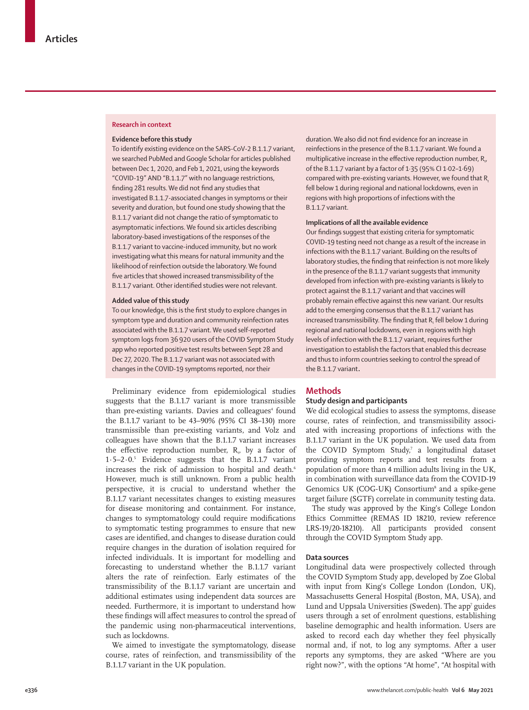## **Research in context**

#### **Evidence before this study**

To identify existing evidence on the SARS-CoV-2 B.1.1.7 variant, we searched PubMed and Google Scholar for articles published between Dec 1, 2020, and Feb 1, 2021, using the keywords "COVID-19" AND "B.1.1.7" with no language restrictions, finding 281 results. We did not find any studies that investigated B.1.1.7-associated changes in symptoms or their severity and duration, but found one study showing that the B.1.1.7 variant did not change the ratio of symptomatic to asymptomatic infections. We found six articles describing laboratory-based investigations of the responses of the B.1.1.7 variant to vaccine-induced immunity, but no work investigating what this means for natural immunity and the likelihood of reinfection outside the laboratory. We found five articles that showed increased transmissibility of the B.1.1.7 variant. Other identified studies were not relevant.

## **Added value of this study**

To our knowledge, this is the first study to explore changes in symptom type and duration and community reinfection rates associated with the B.1.1.7 variant. We used self-reported symptom logs from 36920 users of the COVID Symptom Study app who reported positive test results between Sept 28 and Dec 27, 2020. The B.1.1.7 variant was not associated with changes in the COVID-19 symptoms reported, nor their

Preliminary evidence from epidemiological studies suggests that the B.1.1.7 variant is more transmissible than pre-existing variants. Davies and colleagues<sup>4</sup> found the B.1.1.7 variant to be 43–90% (95% CI 38–130) more transmissible than pre-existing variants, and Volz and colleagues have shown that the B.1.1.7 variant increases the effective reproduction number, R<sub>v</sub>, by a factor of 1·5–2·0.5 Evidence suggests that the B.1.1.7 variant increases the risk of admission to hospital and death.<sup>6</sup> However, much is still unknown. From a public health perspective, it is crucial to understand whether the B.1.1.7 variant necessitates changes to existing measures for disease monitoring and containment. For instance, changes to symptomatology could require modifications to symptomatic testing programmes to ensure that new cases are identified, and changes to disease duration could require changes in the duration of isolation required for infected individuals. It is important for modelling and forecasting to understand whether the B.1.1.7 variant alters the rate of reinfection. Early estimates of the transmissibility of the B.1.1.7 variant are uncertain and additional estimates using independent data sources are needed. Furthermore, it is important to understand how these findings will affect measures to control the spread of the pandemic using non-pharmaceutical interventions, such as lockdowns.

We aimed to investigate the symptomatology, disease course, rates of reinfection, and transmissibility of the B.1.1.7 variant in the UK population.

duration. We also did not find evidence for an increase in reinfections in the presence of the B.1.1.7 variant. We found a multiplicative increase in the effective reproduction number,  $R_{\nu}$ of the B.1.1.7 variant by a factor of 1·35 (95% CI 1·02–1·69) compared with pre-existing variants. However, we found that  $R_t$ fell below 1 during regional and national lockdowns, even in regions with high proportions of infections with the B.1.1.7 variant.

## **Implications of all the available evidence**

Our findings suggest that existing criteria for symptomatic COVID-19 testing need not change as a result of the increase in infections with the B.1.1.7 variant. Building on the results of laboratory studies, the finding that reinfection is not more likely in the presence of the B.1.1.7 variant suggests that immunity developed from infection with pre-existing variants is likely to protect against the B.1.1.7 variant and that vaccines will probably remain effective against this new variant. Our results add to the emerging consensus that the B.1.1.7 variant has increased transmissibility. The finding that  $R_t$  fell below 1 during regional and national lockdowns, even in regions with high levels of infection with the B.1.1.7 variant, requires further investigation to establish the factors that enabled this decrease and thus to inform countries seeking to control the spread of the B.1.1.7 variant.

## **Methods**

## **Study design and participants**

We did ecological studies to assess the symptoms, disease course, rates of reinfection, and transmissibility associated with increasing proportions of infections with the B.1.1.7 variant in the UK population. We used data from the COVID Symptom Study,<sup>7</sup> a longitudinal dataset providing symptom reports and test results from a population of more than 4 million adults living in the UK, in combination with surveillance data from the COVID-19 Genomics UK (COG-UK) Consortium<sup>8</sup> and a spike-gene target failure (SGTF) correlate in community testing data.

The study was approved by the King's College London Ethics Committee (REMAS ID 18210, review reference LRS-19/20-18210). All participants provided consent through the COVID Symptom Study app.

### **Data sources**

Longitudinal data were prospectively collected through the COVID Symptom Study app, developed by Zoe Global with input from King's College London (London, UK), Massachusetts General Hospital (Boston, MA, USA), and Lund and Uppsala Universities (Sweden). The app<sup>7</sup> guides users through a set of enrolment questions, establishing baseline demographic and health information. Users are asked to record each day whether they feel physically normal and, if not, to log any symptoms. After a user reports any symptoms, they are asked "Where are you right now?", with the options "At home", "At hospital with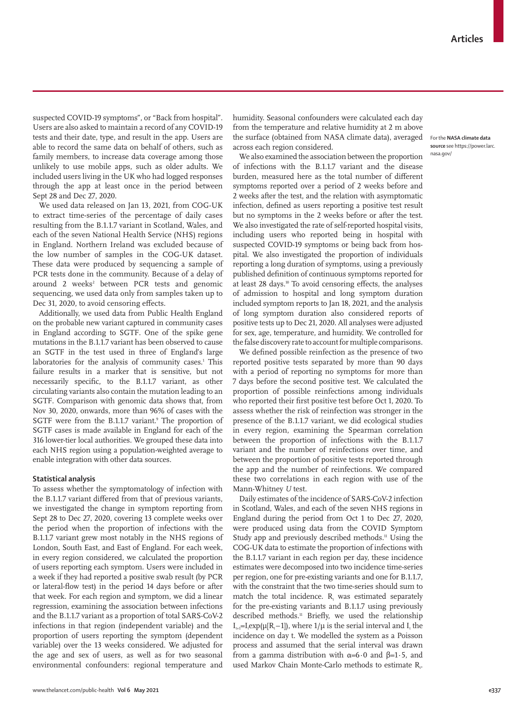suspected COVID-19 symptoms", or "Back from hospital". Users are also asked to maintain a record of any COVID-19 tests and their date, type, and result in the app. Users are able to record the same data on behalf of others, such as family members, to increase data coverage among those unlikely to use mobile apps, such as older adults. We included users living in the UK who had logged responses through the app at least once in the period between Sept 28 and Dec 27, 2020.

We used data released on Jan 13, 2021, from COG-UK to extract time-series of the percentage of daily cases resulting from the B.1.1.7 variant in Scotland, Wales, and each of the seven National Health Service (NHS) regions in England. Northern Ireland was excluded because of the low number of samples in the COG-UK dataset. These data were produced by sequencing a sample of PCR tests done in the community. Because of a delay of around 2 weeks<sup>2</sup> between PCR tests and genomic sequencing, we used data only from samples taken up to Dec 31, 2020, to avoid censoring effects.

Additionally, we used data from Public Health England on the probable new variant captured in community cases in England according to SGTF. One of the spike gene mutations in the B.1.1.7 variant has been observed to cause an SGTF in the test used in three of England's large laboratories for the analysis of community cases.<sup>1</sup> This failure results in a marker that is sensitive, but not necessarily specific, to the B.1.1.7 variant, as other circulating variants also contain the mutation leading to an SGTF. Comparison with genomic data shows that, from Nov 30, 2020, onwards, more than 96% of cases with the SGTF were from the B.1.1.7 variant.<sup>9</sup> The proportion of SGTF cases is made available in England for each of the 316 lower-tier local authorities. We grouped these data into each NHS region using a population-weighted average to enable integration with other data sources.

# **Statistical analysis**

To assess whether the symptomatology of infection with the B.1.1.7 variant differed from that of previous variants, we investigated the change in symptom reporting from Sept 28 to Dec 27, 2020, covering 13 complete weeks over the period when the proportion of infections with the B.1.1.7 variant grew most notably in the NHS regions of London, South East, and East of England. For each week, in every region considered, we calculated the proportion of users reporting each symptom. Users were included in a week if they had reported a positive swab result (by PCR or lateral-flow test) in the period 14 days before or after that week. For each region and symptom, we did a linear regression, examining the association between infections and the B.1.1.7 variant as a proportion of total SARS-CoV-2 infections in that region (independent variable) and the proportion of users reporting the symptom (dependent variable) over the 13 weeks considered. We adjusted for the age and sex of users, as well as for two seasonal environmental confounders: regional temperature and humidity. Seasonal confounders were calculated each day from the temperature and relative humidity at 2 m above the surface (obtained from [NASA climate data\)](https://power.larc.nasa.gov/), averaged across each region considered.

We also examined the association between the proportion of infections with the B.1.1.7 variant and the disease burden, measured here as the total number of different symptoms reported over a period of 2 weeks before and 2 weeks after the test, and the relation with asymptomatic infection, defined as users reporting a positive test result but no symptoms in the 2 weeks before or after the test. We also investigated the rate of self-reported hospital visits, including users who reported being in hospital with suspected COVID-19 symptoms or being back from hospital. We also investigated the proportion of individuals reporting a long duration of symptoms, using a previously published definition of continuous symptoms reported for at least 28 days.10 To avoid censoring effects, the analyses of admission to hospital and long symptom duration included symptom reports to Jan 18, 2021, and the analysis of long symptom duration also considered reports of positive tests up to Dec 21, 2020. All analyses were adjusted for sex, age, temperature, and humidity. We controlled for the false discovery rate to account for multiple comparisons.

We defined possible reinfection as the presence of two reported positive tests separated by more than 90 days with a period of reporting no symptoms for more than 7 days before the second positive test. We calculated the proportion of possible reinfections among individuals who reported their first positive test before Oct 1, 2020. To assess whether the risk of reinfection was stronger in the presence of the B.1.1.7 variant, we did ecological studies in every region, examining the Spearman correlation between the proportion of infections with the B.1.1.7 variant and the number of reinfections over time, and between the proportion of positive tests reported through the app and the number of reinfections. We compared these two correlations in each region with use of the Mann-Whitney *U* test.

Daily estimates of the incidence of SARS-CoV-2 infection in Scotland, Wales, and each of the seven NHS regions in England during the period from Oct 1 to Dec 27, 2020, were produced using data from the COVID Symptom Study app and previously described methods.<sup>11</sup> Using the COG-UK data to estimate the proportion of infections with the B.1.1.7 variant in each region per day, these incidence estimates were decomposed into two incidence time-series per region, one for pre-existing variants and one for B.1.1.7, with the constraint that the two time-series should sum to match the total incidence.  $R_t$  was estimated separately for the pre-existing variants and B.1.1.7 using previously described methods.<sup>11</sup> Briefly, we used the relationship  $I_{t+1}$ =I<sub>t</sub>exp( $\mu$ [R<sub>t</sub>-1]), where 1/ $\mu$  is the serial interval and I<sub>t</sub> the incidence on day t. We modelled the system as a Poisson process and assumed that the serial interval was drawn from a gamma distribution with  $\alpha=6.0$  and  $\beta=1.5$ , and used Markov Chain Monte-Carlo methods to estimate  $R_t$ .

For the **NASA climate data source** see [https://power.larc.](https://power.larc.nasa.gov/) [nasa.gov/](https://power.larc.nasa.gov/)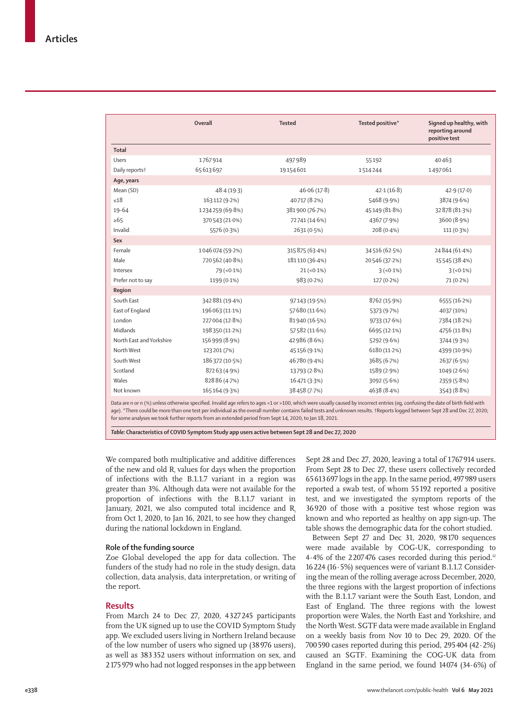|                                                                                                                                                                                                                                                                                                                                                                                                                                                                           | Overall         | <b>Tested</b>   | Tested positive* | Signed up healthy, with<br>reporting around<br>positive test |
|---------------------------------------------------------------------------------------------------------------------------------------------------------------------------------------------------------------------------------------------------------------------------------------------------------------------------------------------------------------------------------------------------------------------------------------------------------------------------|-----------------|-----------------|------------------|--------------------------------------------------------------|
| <b>Total</b>                                                                                                                                                                                                                                                                                                                                                                                                                                                              |                 |                 |                  |                                                              |
| Users                                                                                                                                                                                                                                                                                                                                                                                                                                                                     | 1767914         | 497989          | 55192            | 40463                                                        |
| Daily reports <sup>†</sup>                                                                                                                                                                                                                                                                                                                                                                                                                                                | 65613697        | 19154601        | 1514244          | 1497061                                                      |
| Age, years                                                                                                                                                                                                                                                                                                                                                                                                                                                                |                 |                 |                  |                                                              |
| Mean (SD)                                                                                                                                                                                                                                                                                                                                                                                                                                                                 | 48.4(19.3)      | 46.06(17.8)     | 42.1(16.8)       | 42.9(17.0)                                                   |
| $\leq 18$                                                                                                                                                                                                                                                                                                                                                                                                                                                                 | 163112 (9.2%)   | 40717 (8.2%)    | 5468 (9.9%)      | 3874 (9.6%)                                                  |
| 19-64                                                                                                                                                                                                                                                                                                                                                                                                                                                                     | 1234259 (69.8%) | 381900 (76.7%)  | 45149 (81.8%)    | 32 878 (81.3%)                                               |
| $\geq 65$                                                                                                                                                                                                                                                                                                                                                                                                                                                                 | 370543 (21.0%)  | 72741 (14.6%)   | 4367 (7.9%)      | 3600 (8.9%)                                                  |
| Invalid                                                                                                                                                                                                                                                                                                                                                                                                                                                                   | 5576 (0.3%)     | 2631 (0.5%)     | 208 (0.4%)       | 111(0.3%)                                                    |
| Sex                                                                                                                                                                                                                                                                                                                                                                                                                                                                       |                 |                 |                  |                                                              |
| Female                                                                                                                                                                                                                                                                                                                                                                                                                                                                    | 1046074 (59.2%) | 315 875 (63.4%) | 34516 (62.5%)    | 24844 (61.4%)                                                |
| Male                                                                                                                                                                                                                                                                                                                                                                                                                                                                      | 720562 (40.8%)  | 181110 (36.4%)  | 20546 (37.2%)    | 15545 (38.4%)                                                |
| Intersex                                                                                                                                                                                                                                                                                                                                                                                                                                                                  | 79 (<0.1%)      | $21 (-0.1\%)$   | $3(-0.1\%)$      | $3 (-0.1\%)$                                                 |
| Prefer not to say                                                                                                                                                                                                                                                                                                                                                                                                                                                         | 1199 (0.1%)     | 983 (0.2%)      | 127 (0.2%)       | 71 (0.2%)                                                    |
| Region                                                                                                                                                                                                                                                                                                                                                                                                                                                                    |                 |                 |                  |                                                              |
| South East                                                                                                                                                                                                                                                                                                                                                                                                                                                                | 342 881 (19-4%) | 97143 (19.5%)   | 8762 (15.9%)     | 6555 (16.2%)                                                 |
| East of England                                                                                                                                                                                                                                                                                                                                                                                                                                                           | 196063 (11.1%)  | 57 680 (11.6%)  | 5373 (9.7%)      | 4037 (10%)                                                   |
| London                                                                                                                                                                                                                                                                                                                                                                                                                                                                    | 227004 (12.8%)  | 81940 (16.5%)   | 9733 (17.6%)     | 7384 (18.2%)                                                 |
| Midlands                                                                                                                                                                                                                                                                                                                                                                                                                                                                  | 198 350 (11.2%) | 57582 (11.6%)   | 6695 (12.1%)     | 4756 (11.8%)                                                 |
| North East and Yorkshire                                                                                                                                                                                                                                                                                                                                                                                                                                                  | 156 999 (8.9%)  | 42 986 (8.6%)   | 5292 (9.6%)      | 3744 (9.3%)                                                  |
| North West                                                                                                                                                                                                                                                                                                                                                                                                                                                                | 123 201 (7%)    | 45156 (9.1%)    | 6180 (11.2%)     | 4399 (10.9%)                                                 |
| South West                                                                                                                                                                                                                                                                                                                                                                                                                                                                | 186372 (10.5%)  | 46780 (9.4%)    | 3685 (6.7%)      | 2637 (6.5%)                                                  |
| Scotland                                                                                                                                                                                                                                                                                                                                                                                                                                                                  | 87263 (4.9%)    | 13793 (2.8%)    | 1589 (2.9%)      | 1049 (2.6%)                                                  |
| Wales                                                                                                                                                                                                                                                                                                                                                                                                                                                                     | 828 86 (4.7%)   | 16471 (3.3%)    | 3092 (5.6%)      | 2359 (5.8%)                                                  |
| Not known                                                                                                                                                                                                                                                                                                                                                                                                                                                                 | 165164 (9.3%)   | 38458 (7.7%)    | 4638 (8.4%)      | 3543 (8.8%)                                                  |
| Data are n or n (%) unless otherwise specified. Invalid age refers to ages <1 or >100, which were usually caused by incorrect entries (eq, confusing the date of birth field with<br>age). *There could be more than one test per individual as the overall number contains failed tests and unknown results. †Reports logged between Sept 28 and Dec 27, 2020;<br>for some analyses we took further reports from an extended period from Sept 14, 2020, to Jan 18, 2021. |                 |                 |                  |                                                              |

*Table:* **Characteristics of COVID Symptom Study app users active between Sept 28 and Dec 27, 2020**

We compared both multiplicative and additive differences of the new and old  $R_t$  values for days when the proportion of infections with the B.1.1.7 variant in a region was greater than 3%. Although data were not available for the proportion of infections with the B.1.1.7 variant in January, 2021, we also computed total incidence and R from Oct 1, 2020, to Jan 16, 2021, to see how they changed during the national lockdown in England.

## **Role of the funding source**

Zoe Global developed the app for data collection. The funders of the study had no role in the study design, data collection, data analysis, data interpretation, or writing of the report.

## **Results**

From March 24 to Dec 27, 2020, 4327245 participants from the UK signed up to use the COVID Symptom Study app. We excluded users living in Northern Ireland because of the low number of users who signed up (38976 users), as well as 383352 users without information on sex, and 2175979 who had not logged responses in the app between Sept 28 and Dec 27, 2020, leaving a total of 1767914 users. From Sept 28 to Dec 27, these users collectively recorded 65613697 logs in the app. In the same period, 497989 users reported a swab test, of whom 55192 reported a positive test, and we investigated the symptom reports of the 36920 of those with a positive test whose region was known and who reported as healthy on app sign-up. The table shows the demographic data for the cohort studied.

Between Sept 27 and Dec 31, 2020, 98170 sequences were made available by COG-UK, corresponding to 4·4% of the 2207476 cases recorded during this period.12 16224 (16·5%) sequences were of variant B.1.1.7. Considering the mean of the rolling average across December, 2020, the three regions with the largest proportion of infections with the B.1.1.7 variant were the South East, London, and East of England. The three regions with the lowest proportion were Wales, the North East and Yorkshire, and the North West. SGTF data were made available in England on a weekly basis from Nov 10 to Dec 29, 2020. Of the 700590 cases reported during this period, 295404 (42·2%) caused an SGTF. Examining the COG-UK data from England in the same period, we found 14074 (34·6%) of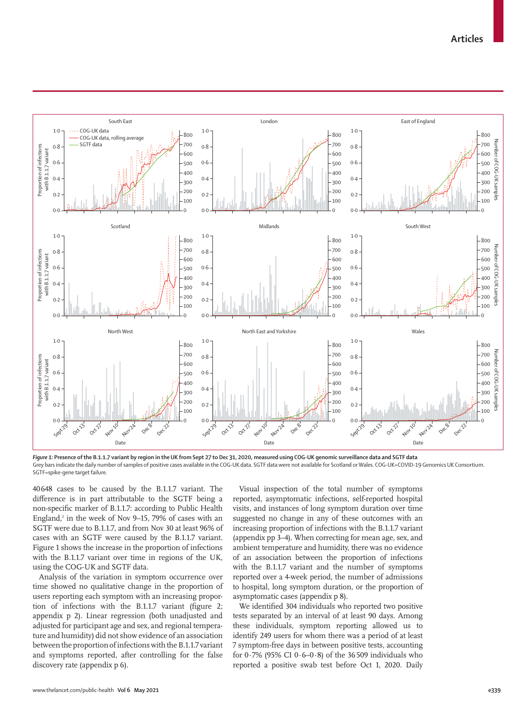

*Figure 1:* **Presence of the B.1.1.7 variant by region in the UK from Sept 27 to Dec 31, 2020, measured using COG-UK genomic surveillance data and SGTF data** Grey bars indicate the daily number of samples of positive cases available in the COG-UK data. SGTF data were not available for Scotland or Wales. COG-UK=COVID-19 Genomics UK Consortium. SGTF=spike-gene target failure.

40648 cases to be caused by the B.1.1.7 variant. The difference is in part attributable to the SGTF being a non-specific marker of B.1.1.7: according to Public Health England,<sup>2</sup> in the week of Nov 9–15, 79% of cases with an SGTF were due to B.1.1.7, and from Nov 30 at least 96% of cases with an SGTF were caused by the B.1.1.7 variant. Figure 1 shows the increase in the proportion of infections with the B.1.1.7 variant over time in regions of the UK, using the COG-UK and SGTF data.

Analysis of the variation in symptom occurrence over time showed no qualitative change in the proportion of users reporting each symptom with an increasing proportion of infections with the B.1.1.7 variant (figure 2; appendix p 2). Linear regression (both unadjusted and adjusted for participant age and sex, and regional temperature and humidity) did not show evidence of an association between the proportion of infections with the B.1.1.7 variant and symptoms reported, after controlling for the false discovery rate (appendix p 6).

Visual inspection of the total number of symptoms reported, asymptomatic infections, self-reported hospital visits, and instances of long symptom duration over time suggested no change in any of these outcomes with an increasing proportion of infections with the B.1.1.7 variant (appendix pp 3–4). When correcting for mean age, sex, and ambient temperature and humidity, there was no evidence of an association between the proportion of infections with the B.1.1.7 variant and the number of symptoms reported over a 4-week period, the number of admissions to hospital, long symptom duration, or the proportion of asymptomatic cases (appendix p 8).

We identified 304 individuals who reported two positive tests separated by an interval of at least 90 days. Among these individuals, symptom reporting allowed us to identify 249 users for whom there was a period of at least 7 symptom-free days in between positive tests, accounting for 0·7% (95% CI 0·6–0·8) of the 36509 individuals who reported a positive swab test before Oct 1, 2020. Daily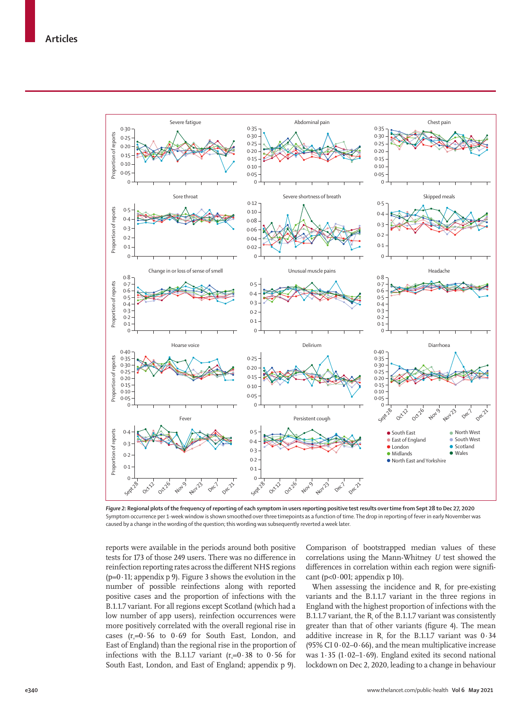

*Figure 2:* **Regional plots of the frequency of reporting of each symptom in users reporting positive test results over time from Sept 28 to Dec 27, 2020** Symptom occurrence per 1-week window is shown smoothed over three timepoints as a function of time. The drop in reporting of fever in early November was caused by a change in the wording of the question; this wording was subsequently reverted a week later.

reports were available in the periods around both positive tests for 173 of those 249 users. There was no difference in reinfection reporting rates across the different NHS regions  $(p=0.11;$  appendix p 9). Figure 3 shows the evolution in the number of possible reinfections along with reported positive cases and the proportion of infections with the B.1.1.7 variant. For all regions except Scotland (which had a low number of app users), reinfection occurrences were more positively correlated with the overall regional rise in cases  $(r_s=0.56$  to  $0.69$  for South East, London, and East of England) than the regional rise in the proportion of infections with the B.1.1.7 variant  $(r<sub>s</sub>=0.38$  to 0.56 for South East, London, and East of England; appendix p 9).

Comparison of bootstrapped median values of these correlations using the Mann-Whitney *U* test showed the differences in correlation within each region were significant ( $p<0.001$ ; appendix p 10).

When assessing the incidence and  $R_t$  for pre-existing variants and the B.1.1.7 variant in the three regions in England with the highest proportion of infections with the B.1.1.7 variant, the  $R_t$  of the B.1.1.7 variant was consistently greater than that of other variants (figure 4). The mean additive increase in  $R_t$  for the B.1.1.7 variant was  $0.34$ (95% CI  $0.02-0.66$ ), and the mean multiplicative increase was  $1.35$  ( $1.02-1.69$ ). England exited its second national lockdown on Dec 2, 2020, leading to a change in behaviour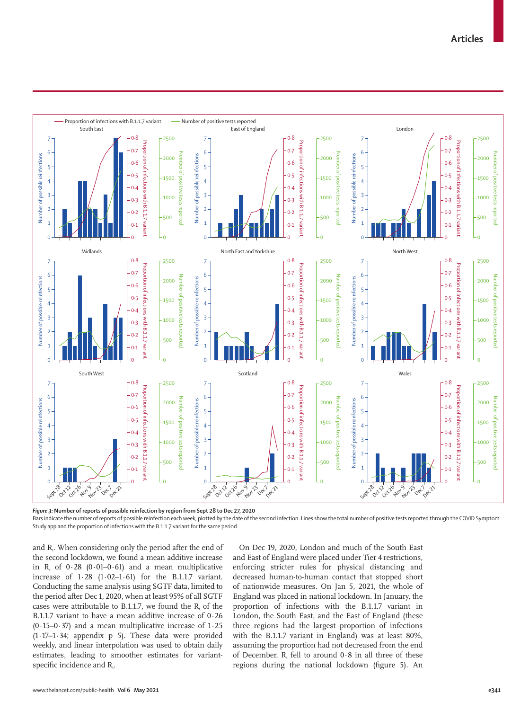

*Figure 3:* **Number of reports of possible reinfection by region from Sept 28 to Dec 27, 2020**

Bars indicate the number of reports of possible reinfection each week, plotted by the date of the second infection. Lines show the total number of positive tests reported through the COVID Symptom Study app and the proportion of infections with the B.1.1.7 variant for the same period.

and R. When considering only the period after the end of the second lockdown, we found a mean additive increase in  $R_t$  of 0.28 (0.01–0.61) and a mean multiplicative increase of 1·28 (1·02–1·61) for the B.1.1.7 variant. Conducting the same analysis using SGTF data, limited to the period after Dec 1, 2020, when at least 95% of all SGTF cases were attributable to B.1.1.7, we found the  $R_{i}$  of the B.1.1.7 variant to have a mean additive increase of 0·26 (0 $\cdot$ 15–0 $\cdot$ 37) and a mean multiplicative increase of 1 $\cdot$ 25 (1·17–1·34; appendix p 5). These data were provided weekly, and linear interpolation was used to obtain daily estimates, leading to smoother estimates for variantspecific incidence and  $\rm R_{t}$ .

On Dec 19, 2020, London and much of the South East and East of England were placed under Tier 4 restrictions, enforcing stricter rules for physical distancing and decreased human-to-human contact that stopped short of nationwide measures. On Jan 5, 2021, the whole of England was placed in national lockdown. In January, the proportion of infections with the B.1.1.7 variant in London, the South East, and the East of England (these three regions had the largest proportion of infections with the B.1.1.7 variant in England) was at least 80%, assuming the proportion had not decreased from the end of December.  $R_t$  fell to around 0.8 in all three of these regions during the national lockdown (figure 5). An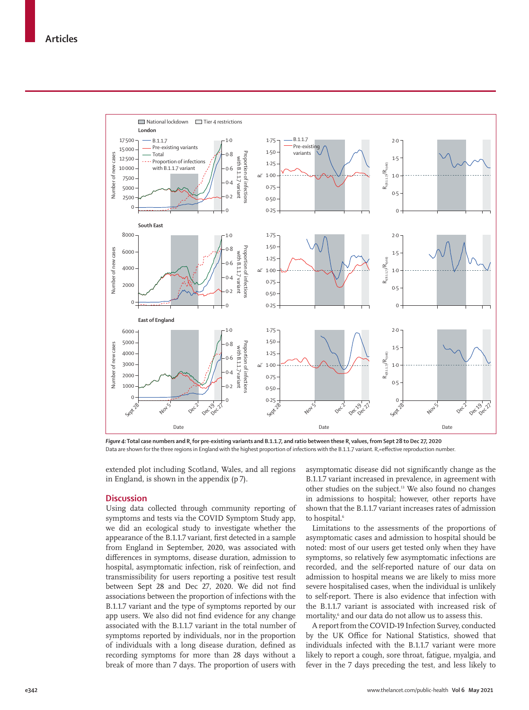

Figure 4: Total case numbers and R<sub>t</sub> for pre-existing variants and B.1.1.7, and ratio between these R<sub>t</sub> values, from Sept 28 to Dec 27, 2020 Data are shown for the three regions in England with the highest proportion of infections with the B.1.1.7 variant.  $R_i$ =effective reproduction number.

extended plot including Scotland, Wales, and all regions in England, is shown in the appendix (p 7).

## **Discussion**

Using data collected through community reporting of symptoms and tests via the COVID Symptom Study app, we did an ecological study to investigate whether the appearance of the B.1.1.7 variant, first detected in a sample from England in September, 2020, was associated with differences in symptoms, disease duration, admission to hospital, asymptomatic infection, risk of reinfection, and transmissibility for users reporting a positive test result between Sept 28 and Dec 27, 2020. We did not find associations between the proportion of infections with the B.1.1.7 variant and the type of symptoms reported by our app users. We also did not find evidence for any change associated with the B.1.1.7 variant in the total number of symptoms reported by individuals, nor in the proportion of individuals with a long disease duration, defined as recording symptoms for more than 28 days without a break of more than 7 days. The proportion of users with asymptomatic disease did not significantly change as the B.1.1.7 variant increased in prevalence, in agreement with other studies on the subject.13 We also found no changes in admissions to hospital; however, other reports have shown that the B.1.1.7 variant increases rates of admission to hospital.<sup>6</sup>

Limitations to the assessments of the proportions of asymptomatic cases and admission to hospital should be noted: most of our users get tested only when they have symptoms, so relatively few asymptomatic infections are recorded, and the self-reported nature of our data on admission to hospital means we are likely to miss more severe hospitalised cases, when the individual is unlikely to self-report. There is also evidence that infection with the B.1.1.7 variant is associated with increased risk of mortality,<sup>6</sup> and our data do not allow us to assess this.

A report from the COVID-19 Infection Survey, conducted by the UK Office for National Statistics, showed that individuals infected with the B.1.1.7 variant were more likely to report a cough, sore throat, fatigue, myalgia, and fever in the 7 days preceding the test, and less likely to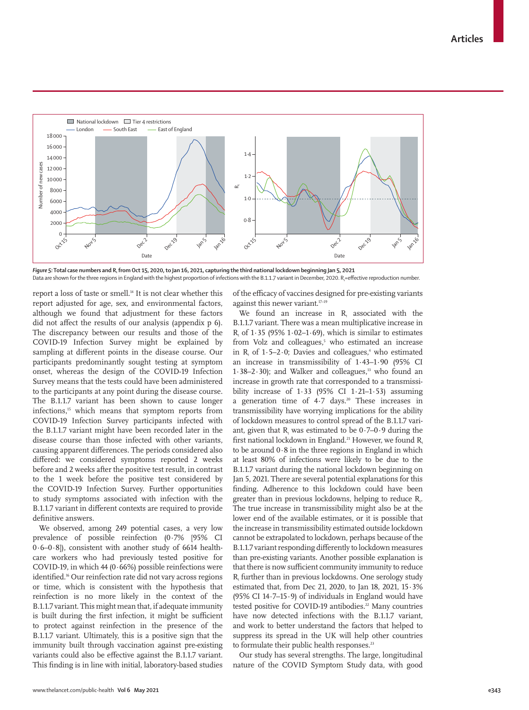

Figure 5: Total case numbers and R<sub>i</sub> from Oct 15, 2020, to Jan 16, 2021, capturing the third national lockdown beginning Jan 5, 2021 Data are shown for the three regions in England with the highest proportion of infections with the B.1.1.7 variant in December, 2020. R<sub>i</sub>=effective reproduction number.

report a loss of taste or smell.<sup>14</sup> It is not clear whether this report adjusted for age, sex, and environmental factors, although we found that adjustment for these factors did not affect the results of our analysis (appendix p 6). The discrepancy between our results and those of the COVID-19 Infection Survey might be explained by sampling at different points in the disease course. Our participants predominantly sought testing at symptom onset, whereas the design of the COVID-19 Infection Survey means that the tests could have been administered to the participants at any point during the disease course. The B.1.1.7 variant has been shown to cause longer infections,<sup>15</sup> which means that symptom reports from COVID-19 Infection Survey participants infected with the B.1.1.7 variant might have been recorded later in the disease course than those infected with other variants, causing apparent differences. The periods considered also differed: we considered symptoms reported 2 weeks before and 2 weeks after the positive test result, in contrast to the 1 week before the positive test considered by the COVID-19 Infection Survey. Further opportunities to study symptoms associated with infection with the B.1.1.7 variant in different contexts are required to provide definitive answers.

We observed, among 249 potential cases, a very low prevalence of possible reinfection (0·7% [95% CI  $0.6-0.8$ ]), consistent with another study of 6614 healthcare workers who had previously tested positive for COVID-19, in which 44 (0 $\cdot$  66%) possible reinfections were identified.<sup>16</sup> Our reinfection rate did not vary across regions or time, which is consistent with the hypothesis that reinfection is no more likely in the context of the B.1.1.7 variant. This might mean that, if adequate immunity is built during the first infection, it might be sufficient to protect against reinfection in the presence of the B.1.1.7 variant. Ultimately, this is a positive sign that the immunity built through vaccination against pre-existing variants could also be effective against the B.1.1.7 variant. This finding is in line with initial, laboratory-based studies of the efficacy of vaccines designed for pre-existing variants against this newer variant.<sup>17-19</sup>

We found an increase in  $R_t$  associated with the B.1.1.7 variant. There was a mean multiplicative increase in  $R_i$  of 1 $\cdot$  35 (95% 1 $\cdot$  02–1 $\cdot$  69), which is similar to estimates from Volz and colleagues,<sup>5</sup> who estimated an increase in  $R_t$  of 1 $\cdot$ 5–2 $\cdot$ 0; Davies and colleagues,<sup>4</sup> who estimated an increase in transmissibility of 1·43–1·90 (95% CI  $1.38-2.30$ ); and Walker and colleagues, $13$  who found an increase in growth rate that corresponded to a transmissibility increase of 1·33 (95% CI 1·21–1·53) assuming a generation time of 4.7 days.<sup>20</sup> These increases in transmissibility have worrying implications for the ability of lockdown measures to control spread of the B.1.1.7 variant, given that  $R_1$  was estimated to be  $0.7-0.9$  during the first national lockdown in England.<sup>21</sup> However, we found R, to be around 0·8 in the three regions in England in which at least 80% of infections were likely to be due to the B.1.1.7 variant during the national lockdown beginning on Jan 5, 2021. There are several potential explanations for this finding. Adherence to this lockdown could have been greater than in previous lockdowns, helping to reduce  $R_{i}$ . The true increase in transmissibility might also be at the lower end of the available estimates, or it is possible that the increase in transmissibility estimated outside lockdown cannot be extrapolated to lockdown, perhaps because of the B.1.1.7 variant responding differently to lockdown measures than pre-existing variants. Another possible explanation is that there is now sufficient community immunity to reduce  $R_{t}$  further than in previous lockdowns. One serology study estimated that, from Dec 21, 2020, to Jan 18, 2021, 15·3% (95% CI 14·7–15·9) of individuals in England would have tested positive for COVID-19 antibodies.<sup>22</sup> Many countries have now detected infections with the B.1.1.7 variant, and work to better understand the factors that helped to suppress its spread in the UK will help other countries to formulate their public health responses.<sup>23</sup>

Our study has several strengths. The large, longitudinal nature of the COVID Symptom Study data, with good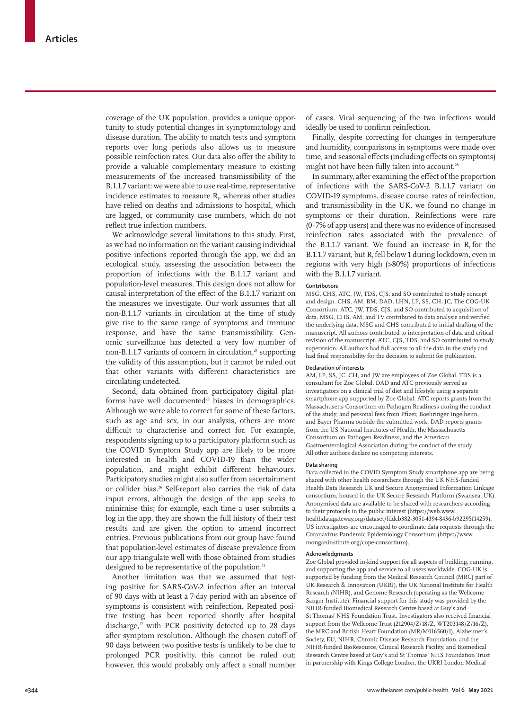coverage of the UK population, provides a unique opportunity to study potential changes in symptomatology and disease duration. The ability to match tests and symptom reports over long periods also allows us to measure possible reinfection rates. Our data also offer the ability to provide a valuable complementary measure to existing measurements of the increased transmissibility of the B.1.1.7 variant: we were able to use real-time, representative incidence estimates to measure  $R_{\nu}$ , whereas other studies have relied on deaths and admissions to hospital, which are lagged, or community case numbers, which do not reflect true infection numbers.

We acknowledge several limitations to this study. First, as we had no information on the variant causing individual positive infections reported through the app, we did an ecological study, assessing the association between the proportion of infections with the B.1.1.7 variant and population-level measures. This design does not allow for causal interpretation of the effect of the B.1.1.7 variant on the measures we investigate. Our work assumes that all non-B.1.1.7 variants in circulation at the time of study give rise to the same range of symptoms and immune response, and have the same transmissibility. Genomic surveillance has detected a very low number of non-B.1.1.7 variants of concern in circulation,<sup>24</sup> supporting the validity of this assumption, but it cannot be ruled out that other variants with different characteristics are circulating undetected.

Second, data obtained from participatory digital platforms have well documented<sup>25</sup> biases in demographics. Although we were able to correct for some of these factors, such as age and sex, in our analysis, others are more difficult to characterise and correct for. For example, respondents signing up to a participatory platform such as the COVID Symptom Study app are likely to be more interested in health and COVID-19 than the wider population, and might exhibit different behaviours. Participatory studies might also suffer from ascertainment or collider bias.26 Self-report also carries the risk of data input errors, although the design of the app seeks to minimise this; for example, each time a user submits a log in the app, they are shown the full history of their test results and are given the option to amend incorrect entries. Previous publications from our group have found that population-level estimates of disease prevalence from our app triangulate well with those obtained from studies designed to be representative of the population.<sup>11</sup>

Another limitation was that we assumed that testing positive for SARS-CoV-2 infection after an interval of 90 days with at least a 7-day period with an absence of symptoms is consistent with reinfection. Repeated positive testing has been reported shortly after hospital discharge, $^{27}$  with PCR positivity detected up to 28 days after symptom resolution. Although the chosen cutoff of 90 days between two positive tests is unlikely to be due to prolonged PCR positivity, this cannot be ruled out; however, this would probably only affect a small number

of cases. Viral sequencing of the two infections would ideally be used to confirm reinfection.

Finally, despite correcting for changes in temperature and humidity, comparisons in symptoms were made over time, and seasonal effects (including effects on symptoms) might not have been fully taken into account.<sup>28</sup>

In summary, after examining the effect of the proportion of infections with the SARS-CoV-2 B.1.1.7 variant on COVID-19 symptoms, disease course, rates of reinfection, and transmissibility in the UK, we found no change in symptoms or their duration. Reinfections were rare (0·7% of app users) and there was no evidence of increased reinfection rates associated with the prevalence of the B.1.1.7 variant. We found an increase in  $R$ , for the  $B.1.1.7$  variant, but  $R_t$  fell below 1 during lockdown, even in regions with very high (>80%) proportions of infections with the B.1.1.7 variant.

#### **Contributors**

MSG, CHS, ATC, JW, TDS, CJS, and SO contributed to study concept and design. CHS, AM, BM, DAD, LHN, LP, SS, CH, JC, The COG-UK Consortium, ATC, JW, TDS, CJS, and SO contributed to acquisition of data. MSG, CHS, AM, and TV contributed to data analysis and verified the underlying data. MSG and CHS contributed to initial drafting of the manuscript. All authors contributed to interpretation of data and critical revision of the manuscript. ATC, CJS, TDS, and SO contributed to study supervision. All authors had full access to all the data in the study and had final responsibility for the decision to submit for publication.

#### **Declaration of interests**

AM, LP, SS, JC, CH, and JW are employees of Zoe Global. TDS is a consultant for Zoe Global. DAD and ATC previously served as investigators on a clinical trial of diet and lifestyle using a separate smartphone app supported by Zoe Global. ATC reports grants from the Massachusetts Consortium on Pathogen Readiness during the conduct of the study; and personal fees from Pfizer, Boehringer Ingelheim, and Bayer Pharma outside the submitted work. DAD reports grants from the US National Institutes of Health, the Massachusetts Consortium on Pathogen Readiness, and the American Gastroenterological Association during the conduct of the study. All other authors declare no competing interests.

### **Data sharing**

Data collected in the COVID Symptom Study smartphone app are being shared with other health researchers through the UK NHS-funded Health Data Research UK and Secure Anonymised Information Linkage consortium, housed in the UK Secure Research Platform (Swansea, UK). Anonymised data are available to be shared with researchers according to their protocols in the public interest (https://web.www. healthdatagateway.org/dataset/fddcb382-3051-4394-8436-b92295f14259). US investigators are encouraged to coordinate data requests through the Coronavirus Pandemic Epidemiology Consortium (https://www. monganinstitute.org/cope-consortium).

#### **Acknowledgments**

Zoe Global provided in-kind support for all aspects of building, running, and supporting the app and service to all users worldwide. COG-UK is supported by funding from the Medical Research Council (MRC) part of UK Research & Innovation (UKRI), the UK National Institute for Health Research (NIHR), and Genome Research (operating as the Wellcome Sanger Institute). Financial support for this study was provided by the NIHR-funded Biomedical Research Centre based at Guy's and St Thomas' NHS Foundation Trust. Investigators also received financial support from the Wellcome Trust (212904/Z/18/Z, WT203148/Z/16/Z), the MRC and British Heart Foundation (MR/M016560/1), Alzheimer's Society, EU, NIHR, Chronic Disease Research Foundation, and the NIHR-funded BioResource, Clinical Research Facility, and Biomedical Research Centre based at Guy's and St Thomas' NHS Foundation Trust in partnership with Kings College London, the UKRI London Medical